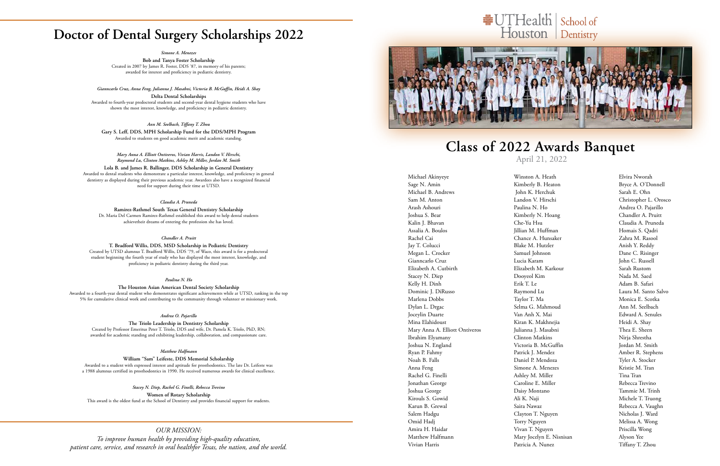### **Doctor of Dental Surgery Scholarships 2022**

*Simone A. Menezes*

**Bob and Tanya Foster Scholarship** Created in 2007 by James R. Foster, DDS '87, in memory of his parents; awarded for interest and proficiency in pediatric dentistry.

*Gianncarlo Cruz, Anna Feng, Julianna J. Masabni, Victoria B. McGuffin, Heidi A. Shay* **Delta Dental Scholarships**  Awarded to fourth-year predoctoral students and second-year dental hygiene students who have shown the most interest, knowledge, and proficiency in pediatric dentistry.

*Ann M. Seelbach, Tiffany T. Zhou* **Gary S. Leff, DDS, MPH Scholarship Fund for the DDS/MPH Program** Awarded to students on good academic merit and academic standing.

*Mary Anna A. Elliott Ontiveros, Vivian Harris, Landon V. Hirschi, Raymond Lu, Clinton Matkins, Ashley M. Miller, Jordan M. Smith*

**Lola B. and James R. Ballinger, DDS Scholarship in General Dentistry**

Awarded to dental students who demonstrate a particular interest, knowledge, and proficiency in general dentistry as displayed during their previous academic year. Awardees also have a recognized financial need for support during their time at UTSD.

#### *Claudia A. Pruneda*

**Ramirez-Rathmel South Texas General Dentistry Scholarship** Dr. Maria Del Carmen Ramirez-Rathmel established this award to help dental students achievetheir dreams of entering the profession she has loved.

#### *Chandler A. Pruitt*

**T. Bradford Willis, DDS, MSD Scholarship in Pediatric Dentistry** Created by UTSD alumnus T. Bradford Willis, DDS '79, of Waco, this award is for a predoctoral student beginning the fourth year of study who has displayed the most interest, knowledge, and proficiency in pediatric dentistry during the third year.

#### *Paulina N. Ho*

#### **The Houston Asian American Dental Society Scholarship**

Awarded to a fourth-year dental student who demonstrates significant achievements while at UTSD, ranking in the top 5% for cumulative clinical work and contributing to the community through volunteer or missionary work.

#### *Andrea O. Pajarillo*

**The Triolo Leadership in Dentistry Scholarship** Created by Professor Emeritus Peter T. Triolo, DDS and wife, Dr. Pamela K. Triolo, PhD, RN; awarded for academic standing and exhibiting leadership, collaboration, and compassionate care.

#### *Matthew Halfmann*

**William "Sam" Leifeste, DDS Memorial Scholarship** Awarded to a student with expressed interest and aptitude for prosthodontics. The late Dr. Leifeste was

### **Class of 2022 Awards Banquet** April 21, 2022

a 1988 alumnus certified in prosthodontics in 1990. He received numerous awards for clinical excellence.

*Stacey N. Diep, Rachel G. Finelli, Rebecca Trevino* **Women of Rotary Scholarship**

This award is the oldest fund at the School of Dentistry and provides financial support for students.

Michael Akinyeye Sage N. Amin Michael B. Andrews Sam M. Anton Arash Ashouri Joshua S. Bear Kalin J. Bhavan Assalia A. Boulos Rachel Cai Jay T. Colucci Megan L. Crocker Gianncarlo Cruz Elizabeth A. Cutbirth Stacey N. Diep Kelly H. Dinh Dominic J. DiRusso Marlena Dobbs Dylan L. Drgac Joceylin Duarte Mina Elahidoust Mary Anna A. Elliott Ontiveros Ibrahim Elyamany Joshua N. England Ryan P. Fahmy Noah B. Falls Anna Feng Rachel G. Finelli Jonathan George Joshua George Kirouls S. Gowid Karun B. Grewal Salem Hadgu Omid Hadj Amira H. Haidar Matthew Halfmann Vivian Harris

Winston A. Heath Kimberly B. Heaton John K. Herchuk Landon V. Hirschi Paulina N. Ho Kimberly N. Hoang Che-Yu Hsu Jillian M. Huffman Chance A. Hunsaker Blake M. Hutzler Samuel Johnson Lucia Karam Elizabeth M. Karkour Dooyeol Kim Erik T. Le Raymond Lu Taylor T. Ma Selma G. Mahmoud Van Anh X. Mai Kiran K. Makhnejia Julianna J. Masabni Clinton Matkins Victoria B. McGuffin Patrick J. Mendez Daniel P. Mendoza Simone A. Menezes Ashley M. Miller Caroline E. Miller Daisy Montano Ali K. Naji Saira Nawaz Clayton T. Nguyen Torry Nguyen Vivan T. Nguyen Mary Jocelyn E. Nisnisan Patricia A. Nunez

## #UTHealth | School of Houston Dentistry

Elvira Nworah Bryce A. O'Donnell Sarah E. Ohn Christopher L. Orosco Andrea O. Pajarillo Chandler A. Pruitt Claudia A. Pruneda Homais S. Qadri Zahra M. Rasool Anish Y. Reddy Dane C. Risinger John C. Russell Sarah Rustom Nada M. Saed Adam B. Safari Laura M. Santo Salvo Monica E. Scotka Ann M. Seelbach Edward A. Senules Heidi A. Shay Thea E. Sheen Nirja Shrestha Jordan M. Smith Amber R. Stephens Tyler A. Stocker Kristie M. Tran Tina Tran Rebecca Trevino Tammie M. Trinh Michele T. Truong Rebecca A. Vaughn Nicholas J. Ward Melissa A. Wong Priscilla Wong Alyson Yee Tiffany T. Zhou

### *OUR MISSION:*

*To improve human health by providing high-quality education, patient care, service, and research in oral healthfor Texas, the nation, and the world.*